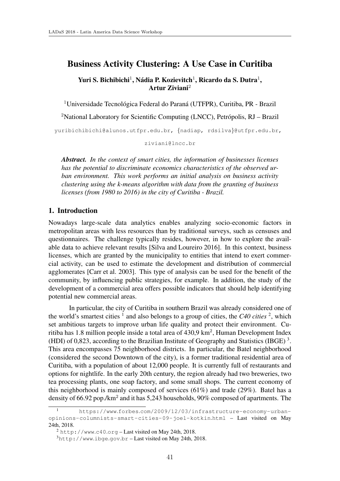# Business Activity Clustering: A Use Case in Curitiba

Yuri S. Bichibichi<sup>1</sup>, Nádia P. Kozievitch<sup>1</sup>, Ricardo da S. Dutra<sup>1</sup>, Artur Ziviani<sup>2</sup>

 $1$ Universidade Tecnológica Federal do Paraná (UTFPR), Curitiba, PR - Brazil

<sup>2</sup>National Laboratory for Scientific Computing (LNCC), Petrópolis,  $RJ - Brazil$ 

yuribichibichi@alunos.utfpr.edu.br, *{*nadiap, rdsilva*}*@utfpr.edu.br,

ziviani@lncc.br

*Abstract. In the context of smart cities, the information of businesses licenses has the potential to discriminate economics characteristics of the observed urban environment. This work performs an initial analysis on business activity clustering using the k-means algorithm with data from the granting of business licenses (from 1980 to 2016) in the city of Curitiba - Brazil.*

#### 1. Introduction

Nowadays large-scale data analytics enables analyzing socio-economic factors in metropolitan areas with less resources than by traditional surveys, such as censuses and questionnaires. The challenge typically resides, however, in how to explore the available data to achieve relevant results [Silva and Loureiro 2016]. In this context, business licenses, which are granted by the municipality to entities that intend to exert commercial activity, can be used to estimate the development and distribution of commercial agglomerates [Carr et al. 2003]. This type of analysis can be used for the benefit of the community, by influencing public strategies, for example. In addition, the study of the development of a commercial area offers possible indicators that should help identifying potential new commercial areas.

In particular, the city of Curitiba in southern Brazil was already considered one of the world's smartest cities  $\frac{1}{1}$  and also belongs to a group of cities, the *C40 cities*  $\frac{2}{1}$ , which set ambitious targets to improve urban life quality and protect their environment. Curitiba has 1.8 million people inside a total area of  $430.9 \text{ km}^2$ , Human Development Index (HDI) of 0,823, according to the Brazilian Institute of Geography and Statistics (IBGE) 3. This area encompasses 75 neighborhood districts. In particular, the Batel neighborhood (considered the second Downtown of the city), is a former traditional residential area of Curitiba, with a population of about 12,000 people. It is currently full of restaurants and options for nightlife. In the early 20th century, the region already had two breweries, two tea processing plants, one soap factory, and some small shops. The current economy of this neighborhood is mainly composed of services (61%) and trade (29%). Batel has a density of 66.92 pop./km<sup>2</sup> and it has 5,243 households, 90% composed of apartments. The

<sup>1</sup> https://www*.*forbes*.*com/2009/12/03/infrastructure-economy-urbanopinions-columnists-smart-cities-09-joel-kotkin*.*html – Last visited on May 24th, 2018.

<sup>2</sup> http://www*.*c40*.*org – Last visited on May 24th, 2018.

<sup>3</sup>http://www*.*ibge*.*gov*.*br – Last visited on May 24th, 2018.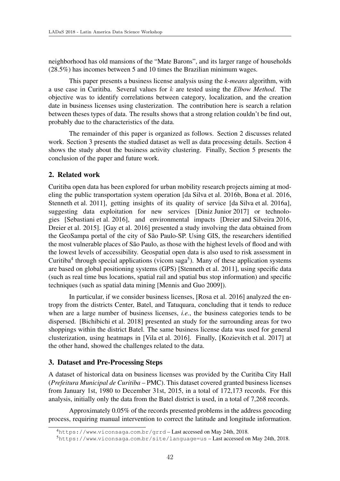neighborhood has old mansions of the "Mate Barons", and its larger range of households (28.5%) has incomes between 5 and 10 times the Brazilian minimum wages.

This paper presents a business license analysis using the *k-means* algorithm, with a use case in Curitiba. Several values for *k* are tested using the *Elbow Method*. The objective was to identify correlations between category, localization, and the creation date in business licenses using clusterization. The contribution here is search a relation between theses types of data. The results shows that a strong relation couldn't be find out, probably due to the characteristics of the data.

The remainder of this paper is organized as follows. Section 2 discusses related work. Section 3 presents the studied dataset as well as data processing details. Section 4 shows the study about the business activity clustering. Finally, Section 5 presents the conclusion of the paper and future work.

# 2. Related work

Curitiba open data has been explored for urban mobility research projects aiming at modeling the public transportation system operation [da Silva et al. 2016b, Bona et al. 2016, Stenneth et al. 2011], getting insights of its quality of service [da Silva et al. 2016a], suggesting data exploitation for new services [Diniz Junior 2017] or technologies [Sebastiani et al. 2016], and environmental impacts [Dreier and Silveira 2016, Dreier et al. 2015]. [Gay et al. 2016] presented a study involving the data obtained from the GeoSampa portal of the city of São Paulo-SP. Using GIS, the researchers identified the most vulnerable places of São Paulo, as those with the highest levels of flood and with the lowest levels of accessibility. Geospatial open data is also used to risk assessment in Curitiba<sup>4</sup> through special applications (vicom saga<sup>5</sup>). Many of these application systems are based on global positioning systems (GPS) [Stenneth et al. 2011], using specific data (such as real time bus locations, spatial rail and spatial bus stop information) and specific techniques (such as spatial data mining [Mennis and Guo 2009]).

In particular, if we consider business licenses, [Rosa et al. 2016] analyzed the entropy from the districts Center, Batel, and Tatuquara, concluding that it tends to reduce when are a large number of business licenses, *i.e.*, the business categories tends to be dispersed. [Bichibichi et al. 2018] presented an study for the surrounding areas for two shoppings within the district Batel. The same business license data was used for general clusterization, using heatmaps in [Vila et al. 2016]. Finally, [Kozievitch et al. 2017] at the other hand, showed the challenges related to the data.

# 3. Dataset and Pre-Processing Steps

A dataset of historical data on business licenses was provided by the Curitiba City Hall (*Prefeitura Municipal de Curitiba* – PMC). This dataset covered granted business licenses from January 1st, 1980 to December 31st, 2015, in a total of 172,173 records. For this analysis, initially only the data from the Batel district is used, in a total of 7,268 records.

Approximately 0.05% of the records presented problems in the address geocoding process, requiring manual intervention to correct the latitude and longitude information.

<sup>4</sup>https://www*.*viconsaga*.*com*.*br/grrd – Last accessed on May 24th, 2018.

<sup>5</sup>https://www*.*viconsaga*.*com*.*br/site/language=us – Last accessed on May 24th, 2018.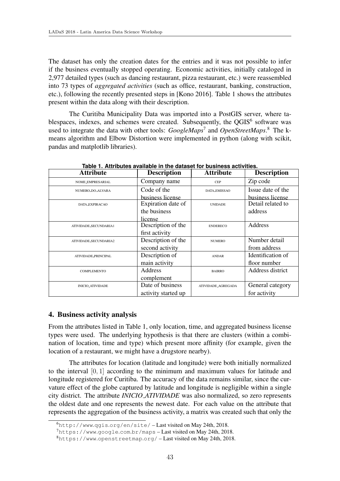The dataset has only the creation dates for the entries and it was not possible to infer if the business eventually stopped operating. Economic activities, initially cataloged in 2,977 detailed types (such as dancing restaurant, pizza restaurant, etc.) were reassembled into 73 types of *aggregated activities* (such as office, restaurant, banking, construction, etc.), following the recently presented steps in [Kono 2016]. Table 1 shows the attributes present within the data along with their description.

The Curitiba Municipality Data was imported into a PostGIS server, where tablespaces, indexes, and schemes were created. Subsequently, the OGIS<sup>6</sup> software was used to integrate the data with other tools: *GoogleMaps*<sup>7</sup> and *OpenStreetMaps*. <sup>8</sup> The kmeans algorithm and Elbow Distortion were implemented in python (along with scikit, pandas and matplotlib libraries).

| <b>Attribute</b>        | <b>Description</b>  | <b>Attribute</b>   | <b>Description</b> |
|-------------------------|---------------------|--------------------|--------------------|
| <b>NOME_EMPRESARIAL</b> | Company name        | <b>CEP</b>         | Zip code           |
| NUMERO_DO_ALVARA        | Code of the         | DATA_EMISSAO       | Issue date of the  |
|                         | business license    |                    | business license   |
| DATA_EXPIRACAO          | Expiration date of  | <b>UNIDADE</b>     | Detail related to  |
|                         | the business        |                    | address            |
|                         | license             |                    |                    |
| ATIVIDADE_SECUNDARIA1   | Description of the  | <b>ENDERECO</b>    | Address            |
|                         | first activity      |                    |                    |
| ATIVIDADE_SECUNDARIA2   | Description of the  | <b>NUMERO</b>      | Number detail      |
|                         | second activity     |                    | from address       |
| ATIVIDADE_PRINCIPAL     | Description of      | <b>ANDAR</b>       | Identification of  |
|                         | main activity       |                    | floor number       |
| <b>COMPLEMENTO</b>      | Address             | <b>BAIRRO</b>      | Address district   |
|                         | complement          |                    |                    |
| <b>INICIO_ATIVIDADE</b> | Date of business    | ATIVIDADE_AGREGADA | General category   |
|                         | activity started up |                    | for activity       |

**Table 1. Attributes available in the dataset for business activities.**

# 4. Business activity analysis

From the attributes listed in Table 1, only location, time, and aggregated business license types were used. The underlying hypothesis is that there are clusters (within a combination of location, time and type) which present more affinity (for example, given the location of a restaurant, we might have a drugstore nearby).

The attributes for location (latitude and longitude) were both initially normalized to the interval [0*,* 1] according to the minimum and maximum values for latitude and longitude registered for Curitiba. The accuracy of the data remains similar, since the curvature effect of the globe captured by latitude and longitude is negligible within a single city district. The attribute *INICIO ATIVIDADE* was also normalized, so zero represents the oldest date and one represents the newest date. For each value on the attribute that represents the aggregation of the business activity, a matrix was created such that only the

<sup>6</sup>http://www*.*qgis*.*org/en/site/ – Last visited on May 24th, 2018.

<sup>7</sup>https://www*.*google*.*com*.*br/maps – Last visited on May 24th, 2018.

<sup>8</sup>https://www*.*openstreetmap*.*org/ – Last visited on May 24th, 2018.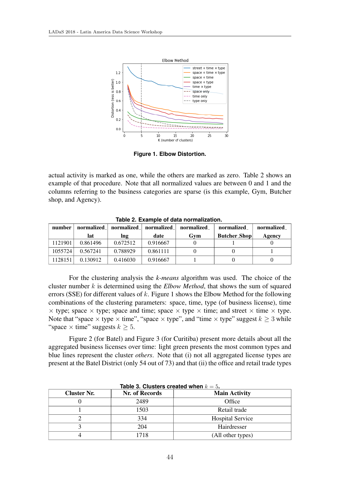

**Figure 1. Elbow Distortion.**

actual activity is marked as one, while the others are marked as zero. Table 2 shows an example of that procedure. Note that all normalized values are between 0 and 1 and the columns referring to the business categories are sparse (is this example, Gym, Butcher shop, and Agency).

| number  | normalized | normalized_ | normalized_ | normalized | normalized_         | normalized_ |  |
|---------|------------|-------------|-------------|------------|---------------------|-------------|--|
|         | lat        | Ing         | date        | Gvm        | <b>Butcher_Shop</b> | Agency      |  |
| 1121901 | 0.861496   | 0.672512    | 0.916667    |            |                     |             |  |
| 1055724 | 0.567241   | 0.788929    | 0.861111    |            |                     |             |  |
| 1128151 | 0.130912   | 0.416030    | 0.916667    |            |                     |             |  |

**Table 2. Example of data normalization.**

For the clustering analysis the *k-means* algorithm was used. The choice of the cluster number *k* is determined using the *Elbow Method*, that shows the sum of squared errors (SSE) for different values of *k*. Figure 1 shows the Elbow Method for the following combinations of the clustering parameters: space, time, type (of business license), time  $\times$  type; space  $\times$  type; space and time; space  $\times$  type  $\times$  time; and street  $\times$  time  $\times$  type. Note that "space  $\times$  type  $\times$  time", "space  $\times$  type", and "time  $\times$  type" suggest  $k \geq 3$  while "space  $\times$  time" suggests  $k > 5$ .

Figure 2 (for Batel) and Figure 3 (for Curitiba) present more details about all the aggregated business licenses over time: light green presents the most common types and blue lines represent the cluster *others*. Note that (i) not all aggregated license types are present at the Batel District (only 54 out of 73) and that (ii) the office and retail trade types

| <b>Cluster Nr.</b> | Nr. of Records | <b>Main Activity</b>    |
|--------------------|----------------|-------------------------|
|                    | 2489           | Office                  |
|                    | 1503           | Retail trade            |
|                    | 334            | <b>Hospital Service</b> |
|                    | 204            | Hairdresser             |
|                    | 718            | (All other types)       |

**Table 3. Clusters created when**  $k = 5$ .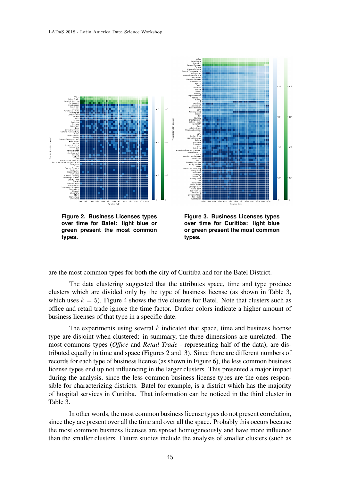

**over time for Batel: light blue or green present the most common types.**

**Figure 3. Business Licenses types over time for Curitiba: light blue or green present the most common types.**

are the most common types for both the city of Curitiba and for the Batel District.

The data clustering suggested that the attributes space, time and type produce clusters which are divided only by the type of business license (as shown in Table 3, which uses  $k = 5$ ). Figure 4 shows the five clusters for Batel. Note that clusters such as office and retail trade ignore the time factor. Darker colors indicate a higher amount of business licenses of that type in a specific date.

The experiments using several *k* indicated that space, time and business license type are disjoint when clustered: in summary, the three dimensions are unrelated. The most commons types (*Office* and *Retail Trade* - representing half of the data), are distributed equally in time and space (Figures 2 and 3). Since there are different numbers of records for each type of business license (as shown in Figure 6), the less common business license types end up not influencing in the larger clusters. This presented a major impact during the analysis, since the less common business license types are the ones responsible for characterizing districts. Batel for example, is a district which has the majority of hospital services in Curitiba. That information can be noticed in the third cluster in Table 3.

In other words, the most common business license types do not present correlation, since they are present over all the time and over all the space. Probably this occurs because the most common business licenses are spread homogeneously and have more influence than the smaller clusters. Future studies include the analysis of smaller clusters (such as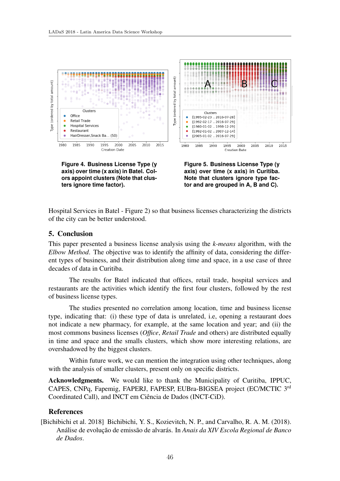

**Figure 4. Business License Type (y axis) over time (x axis) in Batel. Colors appoint clusters (Note that clusters ignore time factor).**



Hospital Services in Batel - Figure 2) so that business licenses characterizing the districts of the city can be better understood.

#### 5. Conclusion

This paper presented a business license analysis using the *k-means* algorithm, with the *Elbow Method*. The objective was to identify the affinity of data, considering the different types of business, and their distribution along time and space, in a use case of three decades of data in Curitiba.

The results for Batel indicated that offices, retail trade, hospital services and restaurants are the activities which identify the first four clusters, followed by the rest of business license types.

The studies presented no correlation among location, time and business license type, indicating that: (i) these type of data is unrelated, i.e, opening a restaurant does not indicate a new pharmacy, for example, at the same location and year; and (ii) the most commons business licenses (*Office*, *Retail Trade* and others) are distributed equally in time and space and the smalls clusters, which show more interesting relations, are overshadowed by the biggest clusters.

Within future work, we can mention the integration using other techniques, along with the analysis of smaller clusters, present only on specific districts.

Acknowledgments. We would like to thank the Municipality of Curitiba, IPPUC, CAPES, CNPq, Fapemig, FAPERJ, FAPESP, EUBra-BIGSEA project (EC/MCTIC 3rd Coordinated Call), and INCT em Ciência de Dados (INCT-CiD).

#### References

[Bichibichi et al. 2018] Bichibichi, Y. S., Kozievitch, N. P., and Carvalho, R. A. M. (2018). Análise de evolução de emissão de alvarás. In *Anais da XIV Escola Regional de Banco de Dados*.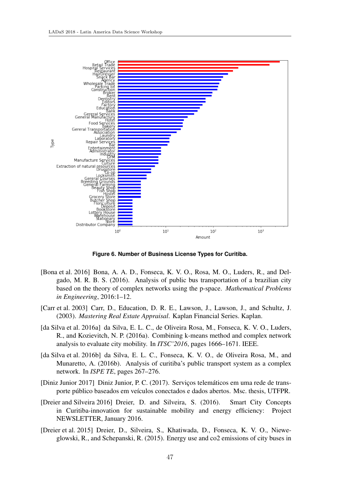

**Figure 6. Number of Business License Types for Curitiba.**

- [Bona et al. 2016] Bona, A. A. D., Fonseca, K. V. O., Rosa, M. O., Luders, R., and Delgado, M. R. B. S. (2016). Analysis of public bus transportation of a brazilian city based on the theory of complex networks using the p-space. *Mathematical Problems in Engineering*, 2016:1–12.
- [Carr et al. 2003] Carr, D., Education, D. R. E., Lawson, J., Lawson, J., and Schultz, J. (2003). *Mastering Real Estate Appraisal*. Kaplan Financial Series. Kaplan.
- [da Silva et al. 2016a] da Silva, E. L. C., de Oliveira Rosa, M., Fonseca, K. V. O., Luders, R., and Kozievitch, N. P. (2016a). Combining k-means method and complex network analysis to evaluate city mobility. In *ITSC'2016*, pages 1666–1671. IEEE.
- [da Silva et al. 2016b] da Silva, E. L. C., Fonseca, K. V. O., de Oliveira Rosa, M., and Munaretto, A. (2016b). Analysis of curitiba's public transport system as a complex network. In *ISPE TE*, pages 267–276.
- [Diniz Junior 2017] Diniz Junior, P. C. (2017). Serviços telemáticos em uma rede de transporte público baseados em veículos conectados e dados abertos. Msc. thesis, UTFPR.
- [Dreier and Silveira 2016] Dreier, D. and Silveira, S. (2016). Smart City Concepts in Curitiba-innovation for sustainable mobility and energy efficiency: Project NEWSLETTER, January 2016.
- [Dreier et al. 2015] Dreier, D., Silveira, S., Khatiwada, D., Fonseca, K. V. O., Nieweglowski, R., and Schepanski, R. (2015). Energy use and co2 emissions of city buses in